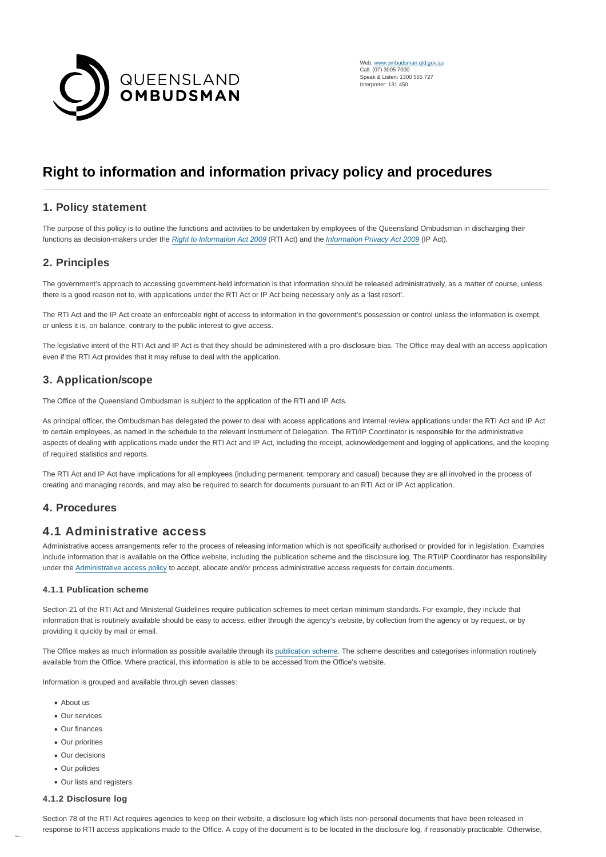

Web: [www.ombudsman.qld.gov.au](https://www.ombudsman.qld.gov.au/) Call: (07) 3005 7000 Speak & Listen: 1300 555 727 Interpreter: 131 450

# **Right to information and information privacy policy and procedures**

## **1. Policy statement**

The purpose of this policy is to outline the functions and activities to be undertaken by employees of the Queensland Ombudsman in discharging their functions as decision-makers under the [Right to Information Act 2009](https://www.legislation.qld.gov.au/LEGISLTN/CURRENT/R/RightInfoA09.pdf) (RTI Act) and the [Information Privacy Act 2009](https://www.legislation.qld.gov.au/LEGISLTN/CURRENT/I/InfoPrivA09.pdf) (IP Act).

## **2. Principles**

The government's approach to accessing government-held information is that information should be released administratively, as a matter of course, unless there is a good reason not to, with applications under the RTI Act or IP Act being necessary only as a 'last resort'.

The RTI Act and the IP Act create an enforceable right of access to information in the government's possession or control unless the information is exempt. or unless it is, on balance, contrary to the public interest to give access.

The legislative intent of the RTI Act and IP Act is that they should be administered with a pro-disclosure bias. The Office may deal with an access application even if the RTI Act provides that it may refuse to deal with the application.

## **3. Application/scope**

The Office of the Queensland Ombudsman is subject to the application of the RTI and IP Acts.

As principal officer, the Ombudsman has delegated the power to deal with access applications and internal review applications under the RTI Act and IP Act to certain employees, as named in the schedule to the relevant Instrument of Delegation. The RTI/IP Coordinator is responsible for the administrative aspects of dealing with applications made under the RTI Act and IP Act, including the receipt, acknowledgement and logging of applications, and the keeping of required statistics and reports.

The RTI Act and IP Act have implications for all employees (including permanent, temporary and casual) because they are all involved in the process of creating and managing records, and may also be required to search for documents pursuant to an RTI Act or IP Act application.

## **4. Procedures**

## **4.1 Administrative access**

Administrative access arrangements refer to the process of releasing information which is not specifically authorised or provided for in legislation. Examples include information that is available on the Office website, including the publication scheme and the disclosure log. The RTI/IP Coordinator has responsibility under the [Administrative access policy t](https://www.ombudsman.qld.gov.au/about-us/right-to-information/how-to-access-information/administrative-access-policy/administrative-access-policy)o accept, allocate and/or process administrative access requests for certain documents.

#### **4.1.1 Publication scheme**

Section 21 of the RTI Act and Ministerial Guidelines require publication schemes to meet certain minimum standards. For example, they include that information that is routinely available should be easy to access, either through the agency's website, by collection from the agency or by request, or by providing it quickly by mail or email.

The Office makes as much information as possible available through its [publication scheme.](https://www.ombudsman.qld.gov.au/about-us/right-to-information/publication-scheme/publication-scheme) The scheme describes and categorises information routinely available from the Office. Where practical, this information is able to be accessed from the Office's website.

Information is grouped and available through seven classes:

- About us
- Our services
- Our finances
- Our priorities
- Our decisions
- Our policies
- Our lists and registers.

#### **4.1.2 Disclosure log**

Section 78 of the RTI Act requires agencies to keep on their website, a disclosure log which lists non-personal documents that have been released in response to RTI access applications made to the Office. A copy of the document is to be located in the disclosure log, if reasonably practicable. Otherwise,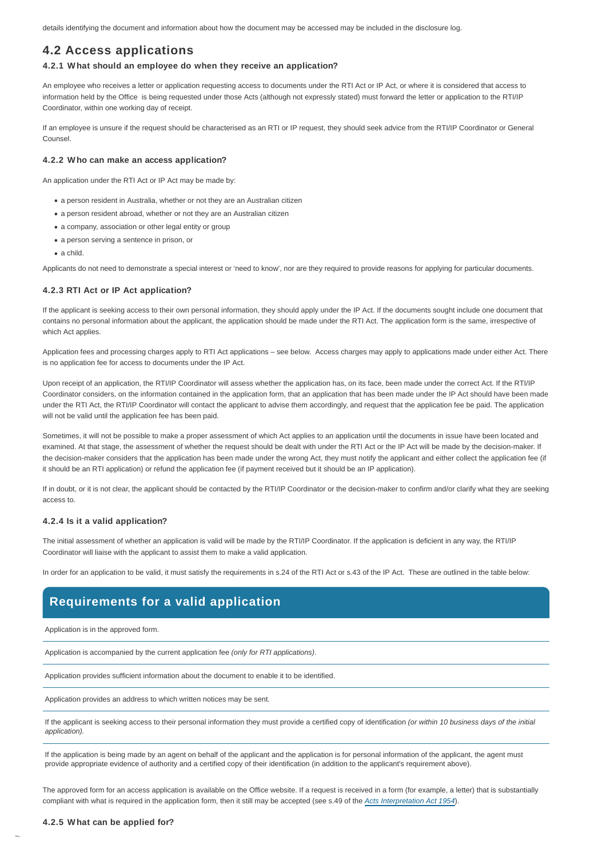details identifying the document and information about how the document may be accessed may be included in the disclosure log.

## **4.2 Access applications**

#### **4.2.1 What should an employee do when they receive an application?**

An employee who receives a letter or application requesting access to documents under the RTI Act or IP Act, or where it is considered that access to information held by the Office is being requested under those Acts (although not expressly stated) must forward the letter or application to the RTI/IP Coordinator, within one working day of receipt.

If an employee is unsure if the request should be characterised as an RTI or IP request, they should seek advice from the RTI/IP Coordinator or General Counsel.

#### **4.2.2 Who can make an access application?**

An application under the RTI Act or IP Act may be made by:

- a person resident in Australia, whether or not they are an Australian citizen
- a person resident abroad, whether or not they are an Australian citizen
- a company, association or other legal entity or group
- a person serving a sentence in prison, or
- a child.

Applicants do not need to demonstrate a special interest or 'need to know', nor are they required to provide reasons for applying for particular documents.

#### **4.2.3 RTI Act or IP Act application?**

If the applicant is seeking access to their own personal information, they should apply under the IP Act. If the documents sought include one document that contains no personal information about the applicant, the application should be made under the RTI Act. The application form is the same, irrespective of which Act applies.

Application fees and processing charges apply to RTI Act applications – see below. Access charges may apply to applications made under either Act. There is no application fee for access to documents under the IP Act.

Upon receipt of an application, the RTI/IP Coordinator will assess whether the application has, on its face, been made under the correct Act. If the RTI/IP Coordinator considers, on the information contained in the application form, that an application that has been made under the IP Act should have been made under the RTI Act, the RTI/IP Coordinator will contact the applicant to advise them accordingly, and request that the application fee be paid. The application will not be valid until the application fee has been paid.

Sometimes, it will not be possible to make a proper assessment of which Act applies to an application until the documents in issue have been located and examined. At that stage, the assessment of whether the request should be dealt with under the RTI Act or the IP Act will be made by the decision-maker. If the decision-maker considers that the application has been made under the wrong Act, they must notify the applicant and either collect the application fee (if it should be an RTI application) or refund the application fee (if payment received but it should be an IP application).

If in doubt, or it is not clear, the applicant should be contacted by the RTI/IP Coordinator or the decision-maker to confirm and/or clarify what they are seeking access to.

#### **4.2.4 Is it a valid application?**

The initial assessment of whether an application is valid will be made by the RTI/IP Coordinator. If the application is deficient in any way, the RTI/IP Coordinator will liaise with the applicant to assist them to make a valid application.

In order for an application to be valid, it must satisfy the requirements in s.24 of the RTI Act or s.43 of the IP Act. These are outlined in the table below:

## **Requirements for a valid application**

Application is in the approved form.

Application is accompanied by the current application fee (only for RTI applications).

Application provides sufficient information about the document to enable it to be identified.

Application provides an address to which written notices may be sent.

If the applicant is seeking access to their personal information they must provide a certified copy of identification (or within 10 business days of the initial application).

If the application is being made by an agent on behalf of the applicant and the application is for personal information of the applicant, the agent must provide appropriate evidence of authority and a certified copy of their identification (in addition to the applicant's requirement above).

The approved form for an access application is available on the Office website. If a request is received in a form (for example, a letter) that is substantially compliant with what is required in the application form, then it still may be accepted (see s.49 of the [Acts Interpretation Act 1954](https://www.legislation.qld.gov.au/LEGISLTN/CURRENT/A/ActsInterpA54.pdf)).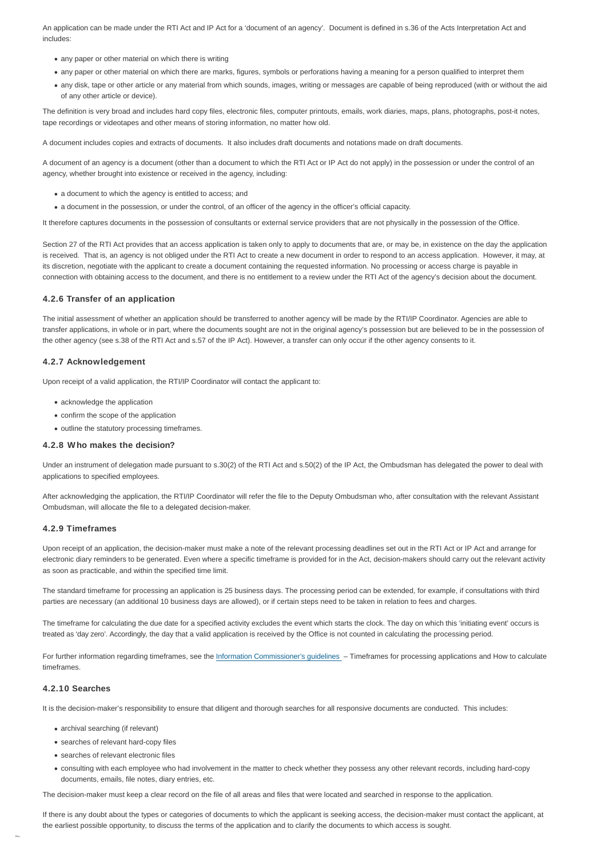An application can be made under the RTI Act and IP Act for a 'document of an agency'. Document is defined in s.36 of the Acts Interpretation Act and includes:

- any paper or other material on which there is writing
- any paper or other material on which there are marks, figures, symbols or perforations having a meaning for a person qualified to interpret them
- any disk, tape or other article or any material from which sounds, images, writing or messages are capable of being reproduced (with or without the aid of any other article or device).

The definition is very broad and includes hard copy files, electronic files, computer printouts, emails, work diaries, maps, plans, photographs, post-it notes, tape recordings or videotapes and other means of storing information, no matter how old.

A document includes copies and extracts of documents. It also includes draft documents and notations made on draft documents.

A document of an agency is a document (other than a document to which the RTI Act or IP Act do not apply) in the possession or under the control of an agency, whether brought into existence or received in the agency, including:

- a document to which the agency is entitled to access; and
- a document in the possession, or under the control, of an officer of the agency in the officer's official capacity.

It therefore captures documents in the possession of consultants or external service providers that are not physically in the possession of the Office.

Section 27 of the RTI Act provides that an access application is taken only to apply to documents that are, or may be, in existence on the day the application is received. That is, an agency is not obliged under the RTI Act to create a new document in order to respond to an access application. However, it may, at its discretion, negotiate with the applicant to create a document containing the requested information. No processing or access charge is payable in connection with obtaining access to the document, and there is no entitlement to a review under the RTI Act of the agency's decision about the document.

#### **4.2.6 Transfer of an application**

The initial assessment of whether an application should be transferred to another agency will be made by the RTI/IP Coordinator. Agencies are able to transfer applications, in whole or in part, where the documents sought are not in the original agency's possession but are believed to be in the possession of the other agency (see s.38 of the RTI Act and s.57 of the IP Act). However, a transfer can only occur if the other agency consents to it.

#### **4.2.7 Acknowledgement**

Upon receipt of a valid application, the RTI/IP Coordinator will contact the applicant to:

- acknowledge the application
- confirm the scope of the application
- outline the statutory processing timeframes.

#### **4.2.8 Who makes the decision?**

Under an instrument of delegation made pursuant to s.30(2) of the RTI Act and s.50(2) of the IP Act, the Ombudsman has delegated the power to deal with applications to specified employees.

After acknowledging the application, the RTI/IP Coordinator will refer the file to the Deputy Ombudsman who, after consultation with the relevant Assistant Ombudsman, will allocate the file to a delegated decision-maker.

#### **4.2.9 Timeframes**

Upon receipt of an application, the decision-maker must make a note of the relevant processing deadlines set out in the RTI Act or IP Act and arrange for electronic diary reminders to be generated. Even where a specific timeframe is provided for in the Act, decision-makers should carry out the relevant activity as soon as practicable, and within the specified time limit.

The standard timeframe for processing an application is 25 business days. The processing period can be extended, for example, if consultations with third parties are necessary (an additional 10 business days are allowed), or if certain steps need to be taken in relation to fees and charges.

The timeframe for calculating the due date for a specified activity excludes the event which starts the clock. The day on which this 'initiating event' occurs is treated as 'day zero'. Accordingly, the day that a valid application is received by the Office is not counted in calculating the processing period.

For further information regarding timeframes, see the [Information Commissioner's guidelines](https://www.oic.qld.gov.au/) – Timeframes for processing applications and How to calculate timeframes.

#### **4.2.10 Searches**

It is the decision-maker's responsibility to ensure that diligent and thorough searches for all responsive documents are conducted. This includes:

- archival searching (if relevant)
- searches of relevant hard-copy files
- searches of relevant electronic files
- consulting with each employee who had involvement in the matter to check whether they possess any other relevant records, including hard-copy documents, emails, file notes, diary entries, etc.

The decision-maker must keep a clear record on the file of all areas and files that were located and searched in response to the application.

If there is any doubt about the types or categories of documents to which the applicant is seeking access, the decision-maker must contact the applicant, at the earliest possible opportunity, to discuss the terms of the application and to clarify the documents to which access is sought.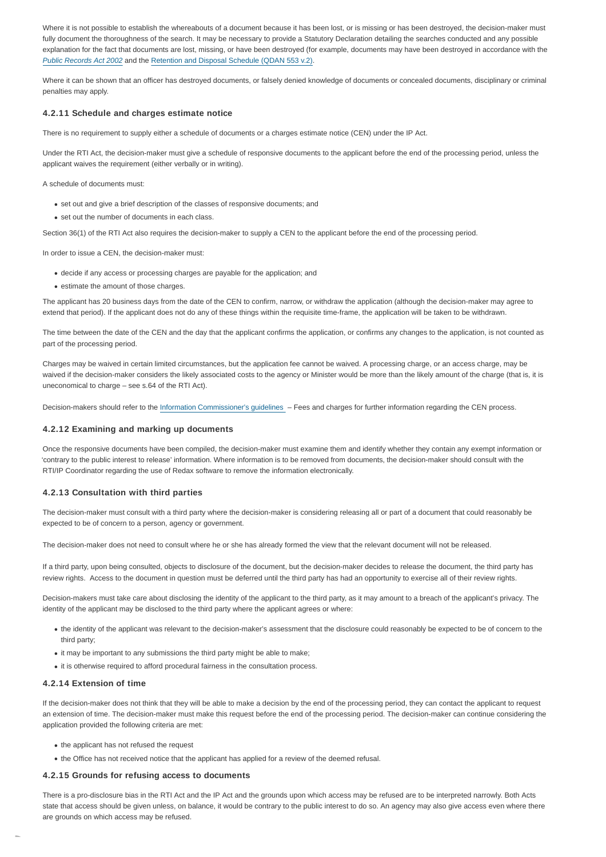Where it is not possible to establish the whereabouts of a document because it has been lost, or is missing or has been destroyed, the decision-maker must fully document the thoroughness of the search. It may be necessary to provide a Statutory Declaration detailing the searches conducted and any possible explanation for the fact that documents are lost, missing, or have been destroyed (for example, documents may have been destroyed in accordance with the [Public Records Act 2002](https://www.legislation.qld.gov.au/LEGISLTN/CURRENT/P/PublicRecA02.pdf/) and the [Retention and Disposal Schedule \(QDAN 553 v.2\).](https://www.forgov.qld.gov.au/__data/assets/pdf_file/0031/189382/office-of-the-ombudsman-retention-and-disposal-schedule-qdan553.pdf)

Where it can be shown that an officer has destroyed documents, or falsely denied knowledge of documents or concealed documents, disciplinary or criminal penalties may apply.

#### **4.2.11 Schedule and charges estimate notice**

There is no requirement to supply either a schedule of documents or a charges estimate notice (CEN) under the IP Act.

Under the RTI Act, the decision-maker must give a schedule of responsive documents to the applicant before the end of the processing period, unless the applicant waives the requirement (either verbally or in writing).

A schedule of documents must:

- set out and give a brief description of the classes of responsive documents; and
- set out the number of documents in each class.

Section 36(1) of the RTI Act also requires the decision-maker to supply a CEN to the applicant before the end of the processing period.

In order to issue a CEN, the decision-maker must:

- decide if any access or processing charges are payable for the application; and
- estimate the amount of those charges.

The applicant has 20 business days from the date of the CEN to confirm, narrow, or withdraw the application (although the decision-maker may agree to extend that period). If the applicant does not do any of these things within the requisite time-frame, the application will be taken to be withdrawn.

The time between the date of the CEN and the day that the applicant confirms the application, or confirms any changes to the application, is not counted as part of the processing period.

Charges may be waived in certain limited circumstances, but the application fee cannot be waived. A processing charge, or an access charge, may be waived if the decision-maker considers the likely associated costs to the agency or Minister would be more than the likely amount of the charge (that is, it is uneconomical to charge – see s.64 of the RTI Act).

Decision-makers should refer to the [Information Commissioner's guidelines](https://www.oic.qld.gov.au/) – Fees and charges for further information regarding the CEN process.

#### **4.2.12 Examining and marking up documents**

Once the responsive documents have been compiled, the decision-maker must examine them and identify whether they contain any exempt information or 'contrary to the public interest to release' information. Where information is to be removed from documents, the decision-maker should consult with the RTI/IP Coordinator regarding the use of Redax software to remove the information electronically.

#### **4.2.13 Consultation with third parties**

The decision-maker must consult with a third party where the decision-maker is considering releasing all or part of a document that could reasonably be expected to be of concern to a person, agency or government.

The decision-maker does not need to consult where he or she has already formed the view that the relevant document will not be released.

If a third party, upon being consulted, objects to disclosure of the document, but the decision-maker decides to release the document, the third party has review rights. Access to the document in question must be deferred until the third party has had an opportunity to exercise all of their review rights.

Decision-makers must take care about disclosing the identity of the applicant to the third party, as it may amount to a breach of the applicant's privacy. The identity of the applicant may be disclosed to the third party where the applicant agrees or where:

- the identity of the applicant was relevant to the decision-maker's assessment that the disclosure could reasonably be expected to be of concern to the third party;
- it may be important to any submissions the third party might be able to make;
- it is otherwise required to afford procedural fairness in the consultation process.

#### **4.2.14 Extension of time**

If the decision-maker does not think that they will be able to make a decision by the end of the processing period, they can contact the applicant to request an extension of time. The decision-maker must make this request before the end of the processing period. The decision-maker can continue considering the application provided the following criteria are met:

- the applicant has not refused the request
- the Office has not received notice that the applicant has applied for a review of the deemed refusal.

#### **4.2.15 Grounds for refusing access to documents**

There is a pro-disclosure bias in the RTI Act and the IP Act and the grounds upon which access may be refused are to be interpreted narrowly. Both Acts state that access should be given unless, on balance, it would be contrary to the public interest to do so. An agency may also give access even where there are grounds on which access may be refused.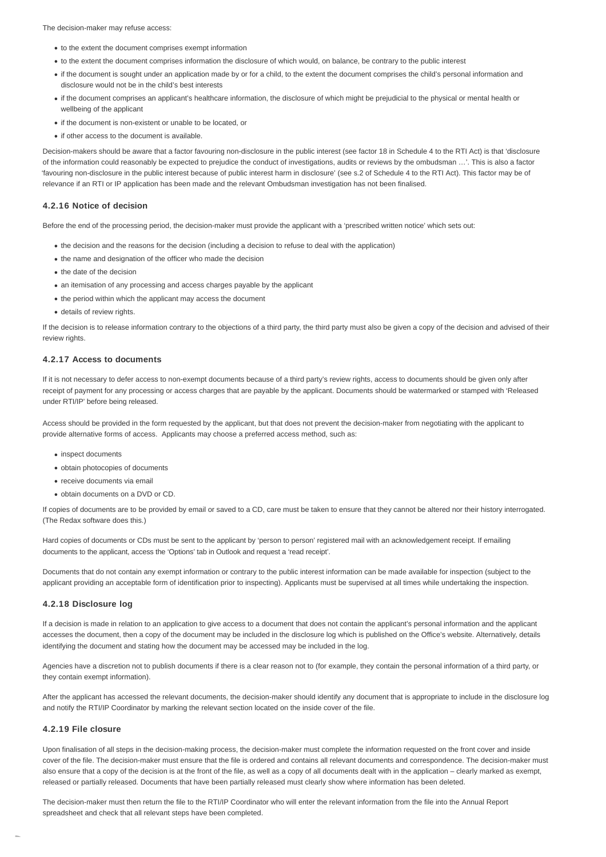The decision-maker may refuse access:

- to the extent the document comprises exempt information
- to the extent the document comprises information the disclosure of which would, on balance, be contrary to the public interest
- if the document is sought under an application made by or for a child, to the extent the document comprises the child's personal information and disclosure would not be in the child's best interests
- if the document comprises an applicant's healthcare information, the disclosure of which might be prejudicial to the physical or mental health or wellbeing of the applicant
- if the document is non-existent or unable to be located, or
- if other access to the document is available.

Decision-makers should be aware that a factor favouring non-disclosure in the public interest (see factor 18 in Schedule 4 to the RTI Act) is that 'disclosure of the information could reasonably be expected to prejudice the conduct of investigations, audits or reviews by the ombudsman …'. This is also a factor 'favouring non-disclosure in the public interest because of public interest harm in disclosure' (see s.2 of Schedule 4 to the RTI Act). This factor may be of relevance if an RTI or IP application has been made and the relevant Ombudsman investigation has not been finalised.

#### **4.2.16 Notice of decision**

Before the end of the processing period, the decision-maker must provide the applicant with a 'prescribed written notice' which sets out:

- the decision and the reasons for the decision (including a decision to refuse to deal with the application)
- the name and designation of the officer who made the decision
- the date of the decision
- an itemisation of any processing and access charges payable by the applicant
- the period within which the applicant may access the document
- details of review rights.

If the decision is to release information contrary to the objections of a third party, the third party must also be given a copy of the decision and advised of their review rights.

#### **4.2.17 Access to documents**

If it is not necessary to defer access to non-exempt documents because of a third party's review rights, access to documents should be given only after receipt of payment for any processing or access charges that are payable by the applicant. Documents should be watermarked or stamped with 'Released under RTI/IP' before being released.

Access should be provided in the form requested by the applicant, but that does not prevent the decision-maker from negotiating with the applicant to provide alternative forms of access. Applicants may choose a preferred access method, such as:

- inspect documents
- obtain photocopies of documents
- receive documents via email
- obtain documents on a DVD or CD.

If copies of documents are to be provided by email or saved to a CD, care must be taken to ensure that they cannot be altered nor their history interrogated. (The Redax software does this.)

Hard copies of documents or CDs must be sent to the applicant by 'person to person' registered mail with an acknowledgement receipt. If emailing documents to the applicant, access the 'Options' tab in Outlook and request a 'read receipt'.

Documents that do not contain any exempt information or contrary to the public interest information can be made available for inspection (subject to the applicant providing an acceptable form of identification prior to inspecting). Applicants must be supervised at all times while undertaking the inspection.

#### **4.2.18 Disclosure log**

If a decision is made in relation to an application to give access to a document that does not contain the applicant's personal information and the applicant accesses the document, then a copy of the document may be included in the disclosure log which is published on the Office's website. Alternatively, details identifying the document and stating how the document may be accessed may be included in the log.

Agencies have a discretion not to publish documents if there is a clear reason not to (for example, they contain the personal information of a third party, or they contain exempt information).

After the applicant has accessed the relevant documents, the decision-maker should identify any document that is appropriate to include in the disclosure log and notify the RTI/IP Coordinator by marking the relevant section located on the inside cover of the file.

#### **4.2.19 File closure**

Upon finalisation of all steps in the decision-making process, the decision-maker must complete the information requested on the front cover and inside cover of the file. The decision-maker must ensure that the file is ordered and contains all relevant documents and correspondence. The decision-maker must also ensure that a copy of the decision is at the front of the file, as well as a copy of all documents dealt with in the application – clearly marked as exempt, released or partially released. Documents that have been partially released must clearly show where information has been deleted.

The decision-maker must then return the file to the RTI/IP Coordinator who will enter the relevant information from the file into the Annual Report spreadsheet and check that all relevant steps have been completed.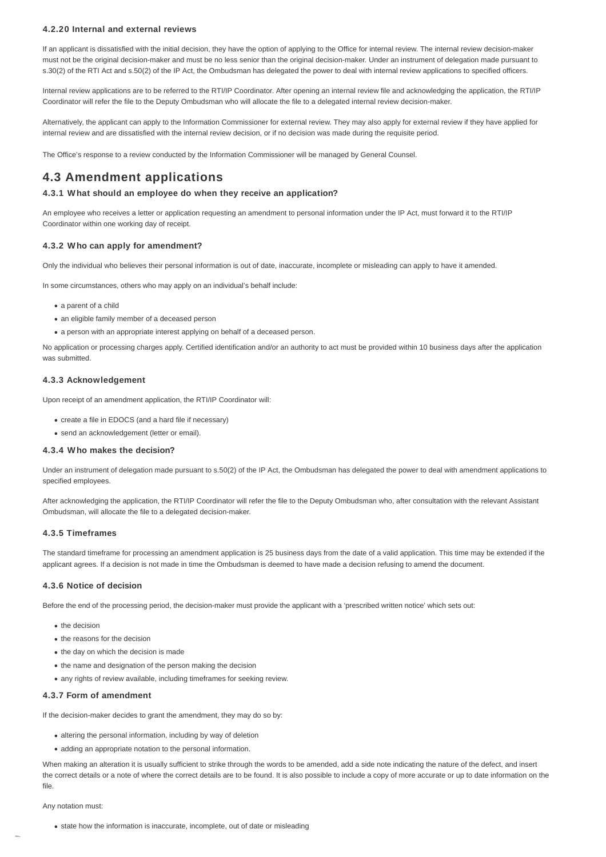#### **4.2.20 Internal and external reviews**

If an applicant is dissatisfied with the initial decision, they have the option of applying to the Office for internal review. The internal review decision-maker must not be the original decision-maker and must be no less senior than the original decision-maker. Under an instrument of delegation made pursuant to s.30(2) of the RTI Act and s.50(2) of the IP Act, the Ombudsman has delegated the power to deal with internal review applications to specified officers.

Internal review applications are to be referred to the RTI/IP Coordinator. After opening an internal review file and acknowledging the application, the RTI/IP Coordinator will refer the file to the Deputy Ombudsman who will allocate the file to a delegated internal review decision-maker.

Alternatively, the applicant can apply to the Information Commissioner for external review. They may also apply for external review if they have applied for internal review and are dissatisfied with the internal review decision, or if no decision was made during the requisite period.

The Office's response to a review conducted by the Information Commissioner will be managed by General Counsel.

## **4.3 Amendment applications**

#### **4.3.1 What should an employee do when they receive an application?**

An employee who receives a letter or application requesting an amendment to personal information under the IP Act, must forward it to the RTI/IP Coordinator within one working day of receipt.

#### **4.3.2 Who can apply for amendment?**

Only the individual who believes their personal information is out of date, inaccurate, incomplete or misleading can apply to have it amended.

In some circumstances, others who may apply on an individual's behalf include:

- a parent of a child
- an eligible family member of a deceased person
- a person with an appropriate interest applying on behalf of a deceased person.

No application or processing charges apply. Certified identification and/or an authority to act must be provided within 10 business days after the application was submitted.

#### **4.3.3 Acknowledgement**

Upon receipt of an amendment application, the RTI/IP Coordinator will:

- create a file in EDOCS (and a hard file if necessary)
- send an acknowledgement (letter or email).

#### **4.3.4 Who makes the decision?**

Under an instrument of delegation made pursuant to s.50(2) of the IP Act, the Ombudsman has delegated the power to deal with amendment applications to specified employees.

After acknowledging the application, the RTI/IP Coordinator will refer the file to the Deputy Ombudsman who, after consultation with the relevant Assistant Ombudsman, will allocate the file to a delegated decision-maker.

#### **4.3.5 Timeframes**

The standard timeframe for processing an amendment application is 25 business days from the date of a valid application. This time may be extended if the applicant agrees. If a decision is not made in time the Ombudsman is deemed to have made a decision refusing to amend the document.

#### **4.3.6 Notice of decision**

Before the end of the processing period, the decision-maker must provide the applicant with a 'prescribed written notice' which sets out:

- the decision
- the reasons for the decision
- the day on which the decision is made
- the name and designation of the person making the decision
- any rights of review available, including timeframes for seeking review.

#### **4.3.7 Form of amendment**

If the decision-maker decides to grant the amendment, they may do so by:

- altering the personal information, including by way of deletion
- adding an appropriate notation to the personal information.

When making an alteration it is usually sufficient to strike through the words to be amended, add a side note indicating the nature of the defect, and insert the correct details or a note of where the correct details are to be found. It is also possible to include a copy of more accurate or up to date information on the file.

Any notation must:

• state how the information is inaccurate, incomplete, out of date or misleading